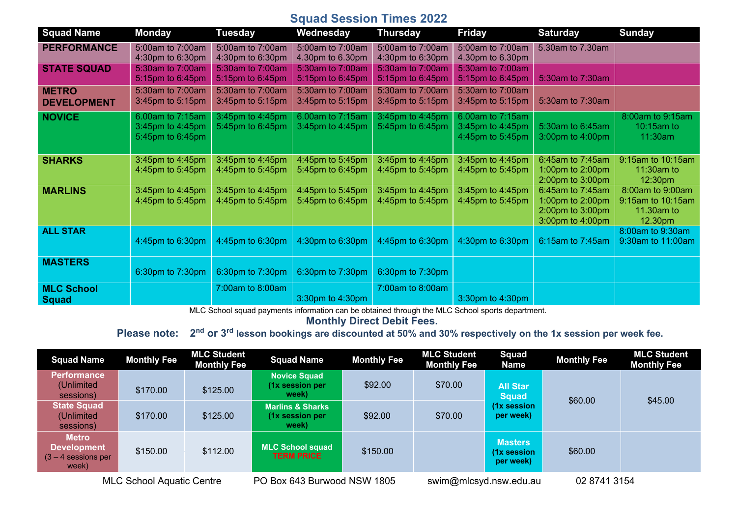## **Squad Session Times 2022**

| <b>Squad Name</b>                  | <b>Monday</b>                                            | <b>Tuesday</b>                       | Wednesday                            | <b>Thursday</b>                      | <b>Friday</b>                                            | <b>Saturday</b>                                                              | <b>Sunday</b>                                                  |
|------------------------------------|----------------------------------------------------------|--------------------------------------|--------------------------------------|--------------------------------------|----------------------------------------------------------|------------------------------------------------------------------------------|----------------------------------------------------------------|
| <b>PERFORMANCE</b>                 | 5:00am to 7:00am<br>4:30pm to 6:30pm                     | 5:00am to 7:00am<br>4:30pm to 6:30pm | 5:00am to 7:00am<br>4.30pm to 6.30pm | 5:00am to 7:00am<br>4:30pm to 6:30pm | 5:00am to 7:00am<br>4.30pm to 6.30pm                     | 5.30am to 7.30am                                                             |                                                                |
| <b>STATE SQUAD</b>                 | 5:30am to 7:00am<br>5:15pm to 6:45pm                     | 5:30am to 7:00am<br>5:15pm to 6:45pm | 5:30am to 7:00am<br>5:15pm to 6:45pm | 5:30am to 7:00am<br>5:15pm to 6:45pm | 5:30am to 7:00am<br>5:15pm to 6:45pm                     | 5:30am to 7:30am                                                             |                                                                |
| <b>METRO</b><br><b>DEVELOPMENT</b> | 5:30am to 7:00am<br>3:45pm to 5:15pm                     | 5:30am to 7:00am<br>3:45pm to 5:15pm | 5:30am to 7:00am<br>3:45pm to 5:15pm | 5:30am to 7:00am<br>3:45pm to 5:15pm | 5:30am to 7:00am<br>3:45pm to 5:15pm                     | 5:30am to 7:30am                                                             |                                                                |
| <b>NOVICE</b>                      | 6.00am to 7:15am<br>3:45pm to 4:45pm<br>5:45pm to 6:45pm | 3:45pm to 4:45pm<br>5:45pm to 6:45pm | 6.00am to 7:15am<br>3:45pm to 4:45pm | 3:45pm to 4:45pm<br>5:45pm to 6:45pm | 6.00am to 7:15am<br>3:45pm to 4:45pm<br>4:45pm to 5:45pm | 5:30am to 6:45am<br>3:00pm to 4:00pm                                         | 8:00am to 9:15am<br>10:15am to<br>11:30am                      |
| <b>SHARKS</b>                      | 3:45pm to 4:45pm<br>4:45pm to 5:45pm                     | 3:45pm to 4:45pm<br>4:45pm to 5:45pm | 4:45pm to 5:45pm<br>5:45pm to 6:45pm | 3:45pm to 4:45pm<br>4:45pm to 5:45pm | 3:45pm to 4:45pm<br>4:45pm to 5:45pm                     | 6:45am to 7:45am<br>1:00pm to 2:00pm<br>2:00pm to 3:00pm                     | 9:15am to 10:15am<br>11:30am to<br>12:30pm                     |
| <b>MARLINS</b>                     | 3:45pm to 4:45pm<br>4:45pm to 5:45pm                     | 3:45pm to 4:45pm<br>4:45pm to 5:45pm | 4:45pm to 5:45pm<br>5:45pm to 6:45pm | 3:45pm to 4:45pm<br>4:45pm to 5:45pm | 3:45pm to 4:45pm<br>4:45pm to 5:45pm                     | 6:45am to 7:45am<br>1:00pm to 2:00pm<br>2:00pm to 3:00pm<br>3:00pm to 4:00pm | 8:00am to 9:00am<br>9:15am to 10:15am<br>11.30am to<br>12.30pm |
| <b>ALL STAR</b>                    | 4:45pm to 6:30pm                                         | 4:45pm to 6:30pm                     | 4:30pm to 6:30pm                     | 4:45pm to 6:30pm                     | 4:30pm to 6:30pm                                         | 6:15am to 7:45am                                                             | 8:00am to 9:30am<br>9:30am to 11:00am                          |
| <b>MASTERS</b>                     | 6:30pm to 7:30pm                                         | 6:30pm to 7:30pm                     | 6:30pm to 7:30pm                     | 6:30pm to 7:30pm                     |                                                          |                                                                              |                                                                |
| <b>MLC School</b><br><b>Squad</b>  |                                                          | 7:00am to 8:00am                     | 3:30pm to 4:30pm                     | 7:00am to 8:00am                     | 3:30pm to 4:30pm                                         |                                                                              |                                                                |

MLC School squad payments information can be obtained through the MLC School sports department.

**Monthly Direct Debit Fees.** 

 **Please note: 22nd or 3rd lesson bookings are discounted at 50% and 30% respectively on the 1x session per week fee.**

| <b>Squad Name</b>                                                    | <b>Monthly Fee</b> | <b>MLC Student</b><br><b>Monthly Fee</b> | <b>Squad Name</b>                                       | <b>Monthly Fee</b> | <b>MLC Student</b><br><b>Monthly Fee</b> | <b>Squad</b><br>Name                       | <b>Monthly Fee</b> | <b>MLC Student</b><br><b>Monthly Fee</b> |
|----------------------------------------------------------------------|--------------------|------------------------------------------|---------------------------------------------------------|--------------------|------------------------------------------|--------------------------------------------|--------------------|------------------------------------------|
| <b>Performance</b><br>(Unlimited<br>sessions)                        | \$170.00           | \$125.00                                 | <b>Novice Squad</b><br>(1x session per<br>week)         | \$92.00            | \$70.00                                  | <b>All Star</b><br><b>Squad</b>            | \$60.00            | \$45.00                                  |
| <b>State Squad</b><br>(Unlimited<br>sessions)                        | \$170.00           | \$125.00                                 | <b>Marlins &amp; Sharks</b><br>(1x session per<br>week) | \$92.00            | \$70.00                                  | (1x session<br>per week)                   |                    |                                          |
| <b>Metro</b><br><b>Development</b><br>$(3 - 4$ sessions per<br>week) | \$150.00           | \$112.00                                 | MLC School squad<br><b>TERM PRICE</b>                   | \$150.00           |                                          | <b>Masters</b><br>(1x session<br>per week) | \$60.00            |                                          |
| <b>MLC School Aquatic Centre</b>                                     |                    |                                          | PO Box 643 Burwood NSW 1805                             |                    | swim@mlcsyd.nsw.edu.au                   |                                            | 02 8741 3154       |                                          |